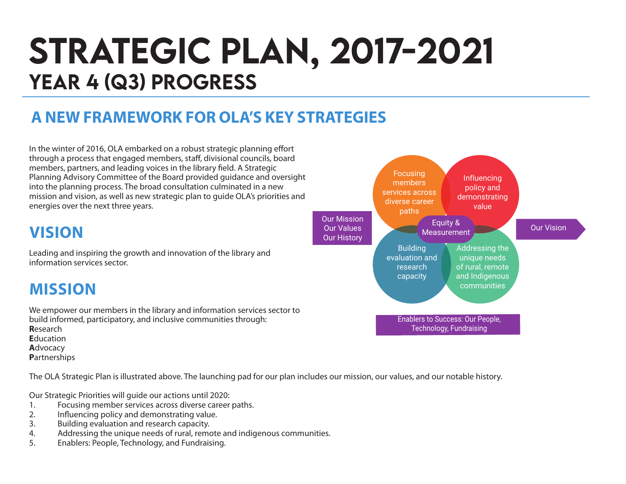# STRATEGIC PLAN, 2017-2021 YEAR 4 (Q3) PROGRESS

### **A NEW FRAMEWORK FOR OLA'S KEY STRATEGIES**

In the winter of 2016, OLA embarked on a robust strategic planning effort through a process that engaged members, staff, divisional councils, board members, partners, and leading voices in the library field. A Strategic Planning Advisory Committee of the Board provided guidance and oversight into the planning process. The broad consultation culminated in a new mission and vision, as well as new strategic plan to guide OLA's priorities and energies over the next three years.

### **VISION**

Leading and inspiring the growth and innovation of the library and information services sector.

### **MISSION**

We empower our members in the library and information services sector to build informed, participatory, and inclusive communities through: **R**esearch **E**ducation **A**dvocacy **P**artnerships

The OLA Strategic Plan is illustrated above. The launching pad for our plan includes our mission, our values, and our notable history.

Our Strategic Priorities will guide our actions until 2020:

- 1. Focusing member services across diverse career paths.<br>2. Influencing policy and demonstrating value.
- 2. Influencing policy and demonstrating value.
- 3. Building evaluation and research capacity.
- 4. Addressing the unique needs of rural, remote and indigenous communities.
- 5. Enablers: People, Technology, and Fundraising.

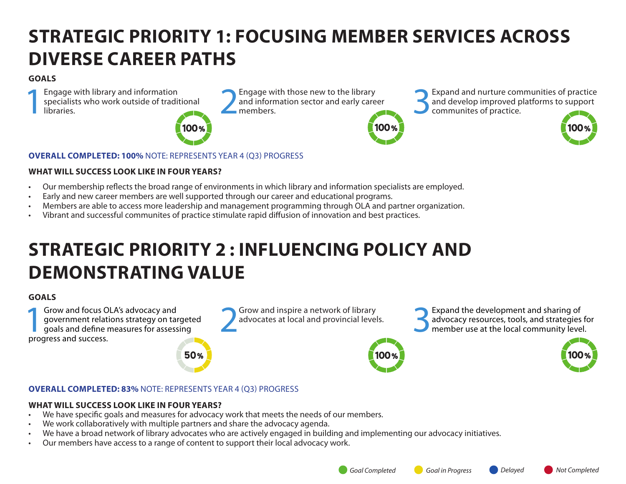# **STRATEGIC PRIORITY 1: FOCUSING MEMBER SERVICES ACROSS DIVERSE CAREER PATHS**

#### **GOALS**

Engage with library and information<br>specialists who work outside of tradit<br>libraries. specialists who work outside of traditional Engage with library and information<br>specialists who work outside of traditional and information sector and early care<br>libraries.



and information sector and early career



Engage with those new to the library<br>and information sector and early career  $\sum$  and develop improved platforms to support<br>members. and develop improved platforms to support communites of practice.



#### **OVERALL COMPLETED: 100%** NOTE: REPRESENTS YEAR 4 (Q3) PROGRESS

#### **WHAT WILL SUCCESS LOOK LIKE IN FOUR YEARS?**

- Our membership reflects the broad range of environments in which library and information specialists are employed.
- Early and new career members are well supported through our career and educational programs.
- Members are able to access more leadership and management programming through OLA and partner organization.
- Vibrant and successful communites of practice stimulate rapid diffusion of innovation and best practices.

# **STRATEGIC PRIORITY 2 : INFLUENCING POLICY AND DEMONSTRATING VALUE**

#### **GOALS**

**1Grow and focus OLA's advocacy and<br>government relations strategy on tail goals and define measures for assess<br>progress and success** government relations strategy on targeted goals and define measures for assessing progress and success.

50%

Grow and inspire a network of library<br>advocates at local and provincial levels.

Grow and inspire a network of library<br>advocates at local and provincial levels.<br>**3Expand the development and sharing of**<br>member use at the local community leve advocacy resources, tools, and strategies for member use at the local community level.



#### **OVERALL COMPLETED: 83%** NOTE: REPRESENTS YEAR 4 (Q3) PROGRESS

#### **WHAT WILL SUCCESS LOOK LIKE IN FOUR YEARS?**

- We have specific goals and measures for advocacy work that meets the needs of our members.
- We work collaboratively with multiple partners and share the advocacy agenda.
- We have a broad network of library advocates who are actively engaged in building and implementing our advocacy initiatives.
- Our members have access to a range of content to support their local advocacy work.

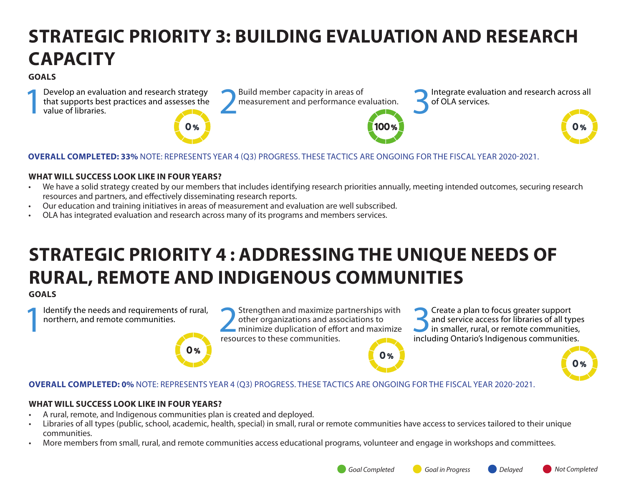# **STRATEGIC PRIORITY 3: BUILDING EVALUATION AND RESEARCH CAPACITY**

#### **GOALS**

Develop an evaluation and research strategy Build member capacity in areas of that supports best practices and assesses the value of libraries. that supports best practices and assesses the value of libraries.



100 %

Build member capacity in areas of **1986** Integrate evaluation and research across all measurement and performance evaluation. of OLA services.



#### **WHAT WILL SUCCESS LOOK LIKE IN FOUR YEARS?**

- We have a solid strategy created by our members that includes identifying research priorities annually, meeting intended outcomes, securing research resources and partners, and effectively disseminating research reports.
- Our education and training initiatives in areas of measurement and evaluation are well subscribed.
- OLA has integrated evaluation and research across many of its programs and members services.

# **STRATEGIC PRIORITY 4 : ADDRESSING THE UNIQUE NEEDS OF RURAL, REMOTE AND INDIGENOUS COMMUNITIES**

#### **GOALS**

Identify the needs and requirements of rural,<br>northern, and remote communities.

Identify the needs and requirements of rural,<br>
northern, and remote communities.<br> **EXECUTES** TO MANUS TREQUITES to these communities other organizations and associations to minimize duplication of effort and maximize resources to these communities.

Solution of the set of all type and service access for libraries of all type<br>in smaller, rural, or remote communities,<br>including Ontario's Indigenous communities and service access for libraries of all types including Ontario's Indigenous communities.

#### **OVERALL COMPLETED: 0%** NOTE: REPRESENTS YEAR 4 (Q3) PROGRESS. THESE TACTICS ARE ONGOING FOR THE FISCAL YEAR 2020-2021.

#### **WHAT WILL SUCCESS LOOK LIKE IN FOUR YEARS?**

• A rural, remote, and Indigenous communities plan is created and deployed.

 $\mathbf{0}$  %

- Libraries of all types (public, school, academic, health, special) in small, rural or remote communities have access to services tailored to their unique communities.
- More members from small, rural, and remote communities access educational programs, volunteer and engage in workshops and committees.

 $O%$ 

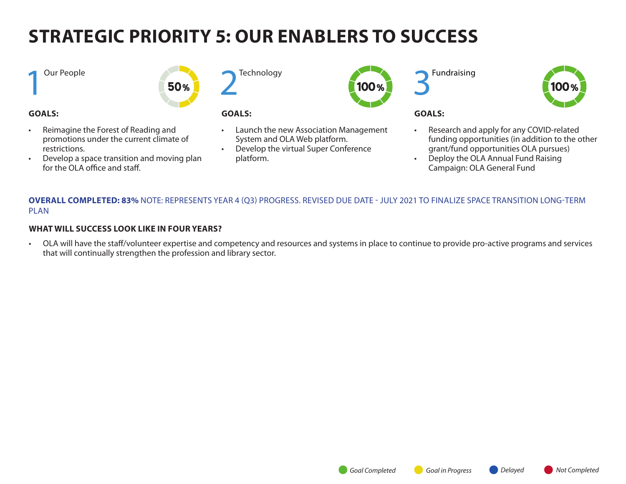# **STRATEGIC PRIORITY 5: OUR ENABLERS TO SUCCESS**

#### **1** Our People

#### **GOALS:**

- Reimagine the Forest of Reading and promotions under the current climate of restrictions.
- Develop a space transition and moving plan for the OLA office and staff.



50%

#### **GOALS:**

- Launch the new Association Management System and OLA Web platform.
- Develop the virtual Super Conference platform.



**Fundraising** 



#### **GOALS:**

- Research and apply for any COVID-related funding opportunities (in addition to the other grant/fund opportunities OLA pursues)
- Deploy the OLA Annual Fund Raising Campaign: OLA General Fund

#### **OVERALL COMPLETED: 83%** NOTE: REPRESENTS YEAR 4 (Q3) PROGRESS. REVISED DUE DATE - JULY 2021 TO FINALIZE SPACE TRANSITION LONG-TERM PLAN

#### **WHAT WILL SUCCESS LOOK LIKE IN FOUR YEARS?**

• OLA will have the staff/volunteer expertise and competency and resources and systems in place to continue to provide pro-active programs and services that will continually strengthen the profession and library sector.